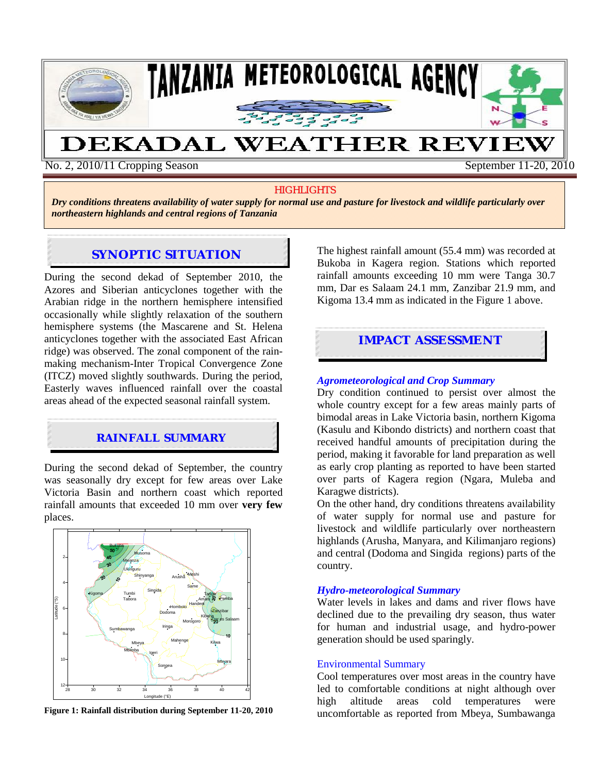

No. 2, 2010/11 Cropping Season September 11-20, 2010

### **HIGHLIGHTS**

*Dry conditions threatens availability of water supply for normal use and pasture for livestock and wildlife particularly over northeastern highlands and central regions of Tanzania* 

# **SYNOPTIC SITUATION**

During the second dekad of September 2010, the Azores and Siberian anticyclones together with the Arabian ridge in the northern hemisphere intensified occasionally while slightly relaxation of the southern hemisphere systems (the Mascarene and St. Helena anticyclones together with the associated East African ridge) was observed. The zonal component of the rainmaking mechanism-Inter Tropical Convergence Zone (ITCZ) moved slightly southwards. During the period, Easterly waves influenced rainfall over the coastal areas ahead of the expected seasonal rainfall system.

### **RAINFALL SUMMARY**

During the second dekad of September, the country was seasonally dry except for few areas over Lake Victoria Basin and northern coast which reported rainfall amounts that exceeded 10 mm over **very few** places.



**Figure 1: Rainfall distribution during September 11-20, 2010** 

The highest rainfall amount (55.4 mm) was recorded at Bukoba in Kagera region. Stations which reported rainfall amounts exceeding 10 mm were Tanga 30.7 mm, Dar es Salaam 24.1 mm, Zanzibar 21.9 mm, and Kigoma 13.4 mm as indicated in the Figure 1 above.

### **IMPACT ASSESSMENT**

### *Agrometeorological and Crop Summary*

Dry condition continued to persist over almost the whole country except for a few areas mainly parts of bimodal areas in Lake Victoria basin, northern Kigoma (Kasulu and Kibondo districts) and northern coast that received handful amounts of precipitation during the period, making it favorable for land preparation as well as early crop planting as reported to have been started over parts of Kagera region (Ngara, Muleba and Karagwe districts).

On the other hand, dry conditions threatens availability of water supply for normal use and pasture for livestock and wildlife particularly over northeastern highlands (Arusha, Manyara, and Kilimanjaro regions) and central (Dodoma and Singida regions) parts of the country.

#### *Hydro-meteorological Summary*

Water levels in lakes and dams and river flows have declined due to the prevailing dry season, thus water for human and industrial usage, and hydro-power generation should be used sparingly.

#### Environmental Summary

Cool temperatures over most areas in the country have led to comfortable conditions at night although over high altitude areas cold temperatures were uncomfortable as reported from Mbeya, Sumbawanga